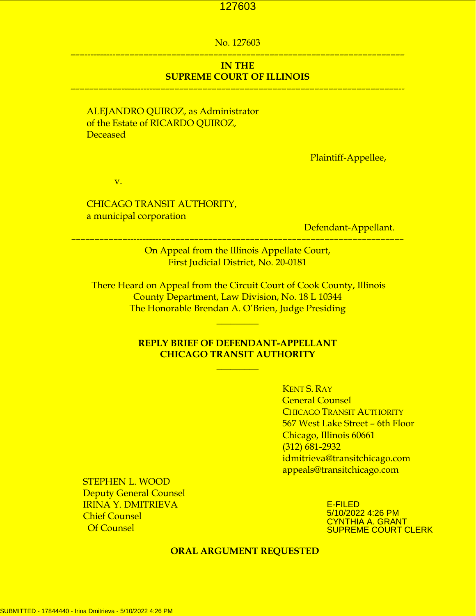## No. 127603 –––----------––––––––––––––––––––––––––––––––––––––––––––––––––––––––––––––

## **IN THE SUPREME COURT OF ILLINOIS**

–––––––––––-----------––––––––––––––––––––––––––––––––––––––––––––––––––––--

## ALEJANDRO QUIROZ, as Administrator of the Estate of RICARDO QUIROZ, Deceased

Plaintiff-Appellee,

v.

## CHICAGO TRANSIT AUTHORITY, a municipal corporation

Defendant-Appellant.

On Appeal from the Illinois Appellate Court, First Judicial District, No. 20-0181

––––––––––––-----------––––––––––––––––––––––––––––––––––––––––––––––––––––

 There Heard on Appeal from the Circuit Court of Cook County, Illinois County Department, Law Division, No. 18 L 10344 The Honorable Brendan A. O'Brien, Judge Presiding

\_\_\_\_\_\_\_\_\_

## **REPLY BRIEF OF DEFENDANT-APPELLANT CHICAGO TRANSIT AUTHORITY**

**\_\_\_\_\_\_\_\_\_**

KENT S. RAY General Counsel CHICAGO TRANSIT AUTHORITY 567 West Lake Street – 6th Floor Chicago, Illinois 60661 (312) 681-2932 idmitrieva@transitchicago.com appeals@transitchicago.com

 STEPHEN L. WOOD Deputy General Counsel IRINA Y. DMITRIEVA Chief Counsel Of Counsel

E-FILED 5/10/2022 4:26 PM CYNTHIA A. GRANT SUPREME COURT CLERK

#### **ORAL ARGUMENT REQUESTED**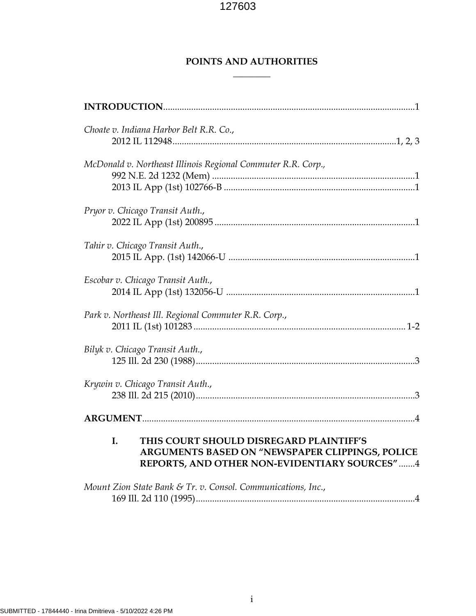**\_\_\_\_\_\_\_\_**

## **POINTS AND AUTHORITIES**

| Choate v. Indiana Harbor Belt R.R. Co.,                                                                                                          |
|--------------------------------------------------------------------------------------------------------------------------------------------------|
| McDonald v. Northeast Illinois Regional Commuter R.R. Corp.,                                                                                     |
| Pryor v. Chicago Transit Auth.,                                                                                                                  |
| Tahir v. Chicago Transit Auth.,                                                                                                                  |
| Escobar v. Chicago Transit Auth.,                                                                                                                |
| Park v. Northeast Ill. Regional Commuter R.R. Corp.,                                                                                             |
| Bilyk v. Chicago Transit Auth.,                                                                                                                  |
| Krywin v. Chicago Transit Auth.,                                                                                                                 |
|                                                                                                                                                  |
| I.<br>THIS COURT SHOULD DISREGARD PLAINTIFF'S<br>ARGUMENTS BASED ON "NEWSPAPER CLIPPINGS, POLICE<br>REPORTS, AND OTHER NON-EVIDENTIARY SOURCES"4 |
| Mount Zion State Bank & Tr. v. Consol. Communications, Inc.,                                                                                     |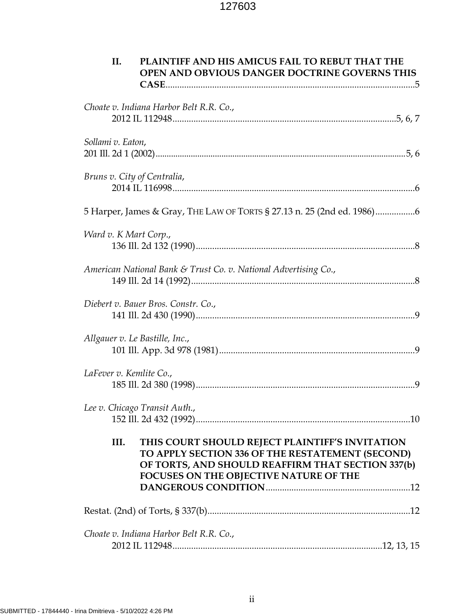| II.                            | PLAINTIFF AND HIS AMICUS FAIL TO REBUT THAT THE<br>OPEN AND OBVIOUS DANGER DOCTRINE GOVERNS THIS                                                                                                   |  |
|--------------------------------|----------------------------------------------------------------------------------------------------------------------------------------------------------------------------------------------------|--|
|                                | Choate v. Indiana Harbor Belt R.R. Co.,                                                                                                                                                            |  |
| Sollami v. Eaton,              |                                                                                                                                                                                                    |  |
| Bruns v. City of Centralia,    |                                                                                                                                                                                                    |  |
|                                | 5 Harper, James & Gray, THE LAW OF TORTS § 27.13 n. 25 (2nd ed. 1986)6                                                                                                                             |  |
| Ward v. K Mart Corp.,          |                                                                                                                                                                                                    |  |
|                                | American National Bank & Trust Co. v. National Advertising Co.,                                                                                                                                    |  |
|                                | Diebert v. Bauer Bros. Constr. Co.,                                                                                                                                                                |  |
| Allgauer v. Le Bastille, Inc., |                                                                                                                                                                                                    |  |
| LaFever v. Kemlite Co.,        |                                                                                                                                                                                                    |  |
|                                | Lee v. Chicago Transit Auth.,                                                                                                                                                                      |  |
| III.                           | THIS COURT SHOULD REJECT PLAINTIFF'S INVITATION<br>TO APPLY SECTION 336 OF THE RESTATEMENT (SECOND)<br>OF TORTS, AND SHOULD REAFFIRM THAT SECTION 337(b)<br>FOCUSES ON THE OBJECTIVE NATURE OF THE |  |
|                                |                                                                                                                                                                                                    |  |
|                                | Choate v. Indiana Harbor Belt R.R. Co.,                                                                                                                                                            |  |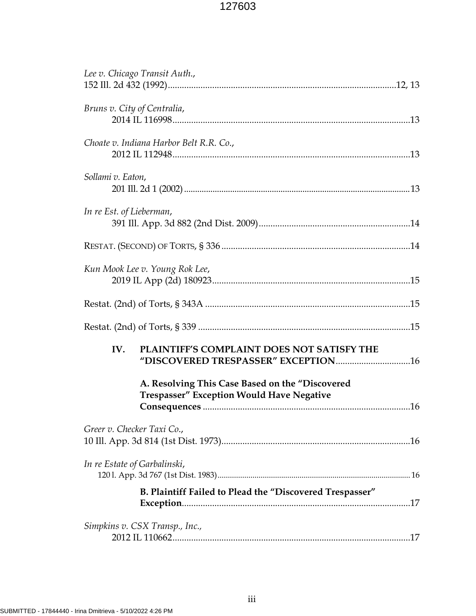| Lee v. Chicago Transit Auth.,  |                                                                                                     |  |
|--------------------------------|-----------------------------------------------------------------------------------------------------|--|
| Bruns v. City of Centralia,    |                                                                                                     |  |
|                                | Choate v. Indiana Harbor Belt R.R. Co.,                                                             |  |
| Sollami v. Eaton,              |                                                                                                     |  |
| In re Est. of Lieberman,       |                                                                                                     |  |
|                                |                                                                                                     |  |
| Kun Mook Lee v. Young Rok Lee, |                                                                                                     |  |
|                                |                                                                                                     |  |
|                                |                                                                                                     |  |
| IV.                            | PLAINTIFF'S COMPLAINT DOES NOT SATISFY THE                                                          |  |
|                                | A. Resolving This Case Based on the "Discovered<br><b>Trespasser" Exception Would Have Negative</b> |  |
| Greer v. Checker Taxi Co.,     |                                                                                                     |  |
| In re Estate of Garbalinski,   |                                                                                                     |  |
|                                | B. Plaintiff Failed to Plead the "Discovered Trespasser"                                            |  |
| Simpkins v. CSX Transp., Inc., |                                                                                                     |  |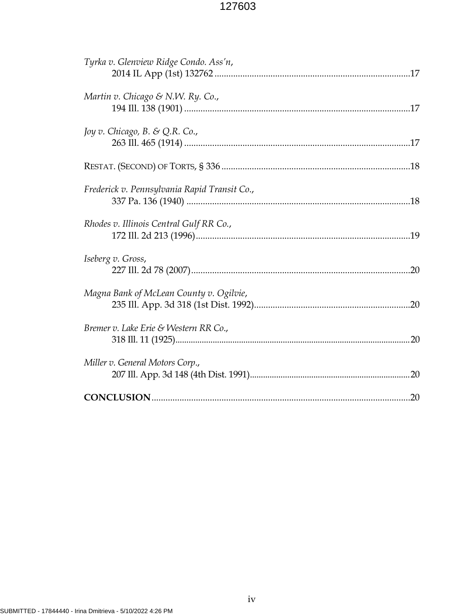| Tyrka v. Glenview Ridge Condo. Ass'n,        |
|----------------------------------------------|
| Martin v. Chicago & N.W. Ry. Co.,            |
| Joy v. Chicago, B. & Q.R. Co.,               |
|                                              |
| Frederick v. Pennsylvania Rapid Transit Co., |
| Rhodes v. Illinois Central Gulf RR Co.,      |
| Iseberg v. Gross,                            |
| Magna Bank of McLean County v. Ogilvie,      |
| Bremer v. Lake Erie & Western RR Co.,        |
| Miller v. General Motors Corp.,              |
|                                              |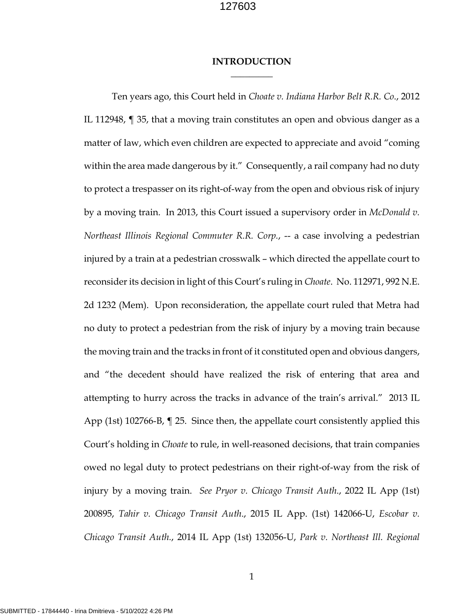### **INTRODUCTION**  $\overline{\phantom{a}}$  . The set of  $\overline{\phantom{a}}$

Ten years ago, this Court held in *Choate v. Indiana Harbor Belt R.R. Co*., 2012 IL 112948, ¶ 35, that a moving train constitutes an open and obvious danger as a matter of law, which even children are expected to appreciate and avoid "coming within the area made dangerous by it." Consequently, a rail company had no duty to protect a trespasser on its right-of-way from the open and obvious risk of injury by a moving train. In 2013, this Court issued a supervisory order in *McDonald v. Northeast Illinois Regional Commuter R.R. Corp.*, -- a case involving a pedestrian injured by a train at a pedestrian crosswalk – which directed the appellate court to reconsider its decision in light of this Court's ruling in *Choate*. No. 112971, 992 N.E. 2d 1232 (Mem). Upon reconsideration, the appellate court ruled that Metra had no duty to protect a pedestrian from the risk of injury by a moving train because the moving train and the tracks in front of it constituted open and obvious dangers, and "the decedent should have realized the risk of entering that area and attempting to hurry across the tracks in advance of the train's arrival." 2013 IL App (1st) 102766-B, ¶ 25. Since then, the appellate court consistently applied this Court's holding in *Choate* to rule, in well-reasoned decisions, that train companies owed no legal duty to protect pedestrians on their right-of-way from the risk of injury by a moving train. *See Pryor v. Chicago Transit Auth*., 2022 IL App (1st) 200895, *Tahir v. Chicago Transit Auth*., 2015 IL App. (1st) 142066-U, *Escobar v. Chicago Transit Auth.*, 2014 IL App (1st) 132056-U, *Park v. Northeast Ill. Regional*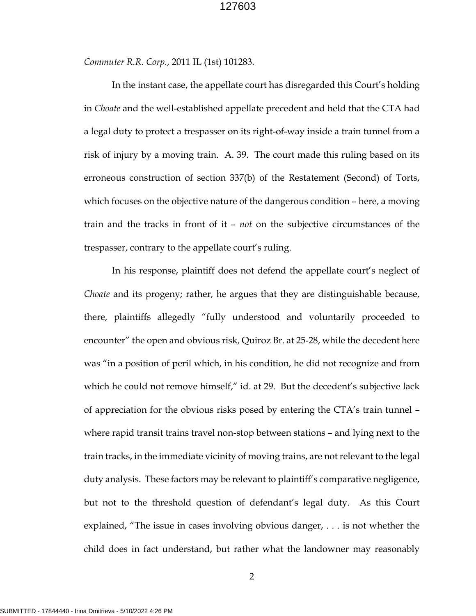*Commuter R.R. Corp.*, 2011 IL (1st) 101283.

In the instant case, the appellate court has disregarded this Court's holding in *Choate* and the well-established appellate precedent and held that the CTA had a legal duty to protect a trespasser on its right-of-way inside a train tunnel from a risk of injury by a moving train. A. 39. The court made this ruling based on its erroneous construction of section 337(b) of the Restatement (Second) of Torts, which focuses on the objective nature of the dangerous condition – here, a moving train and the tracks in front of it – *not* on the subjective circumstances of the trespasser, contrary to the appellate court's ruling.

In his response, plaintiff does not defend the appellate court's neglect of *Choate* and its progeny; rather, he argues that they are distinguishable because, there, plaintiffs allegedly "fully understood and voluntarily proceeded to encounter" the open and obvious risk, Quiroz Br. at 25-28, while the decedent here was "in a position of peril which, in his condition, he did not recognize and from which he could not remove himself," id. at 29. But the decedent's subjective lack of appreciation for the obvious risks posed by entering the CTA's train tunnel – where rapid transit trains travel non-stop between stations – and lying next to the train tracks, in the immediate vicinity of moving trains, are not relevant to the legal duty analysis. These factors may be relevant to plaintiff's comparative negligence, but not to the threshold question of defendant's legal duty. As this Court explained, "The issue in cases involving obvious danger, . . . is not whether the child does in fact understand, but rather what the landowner may reasonably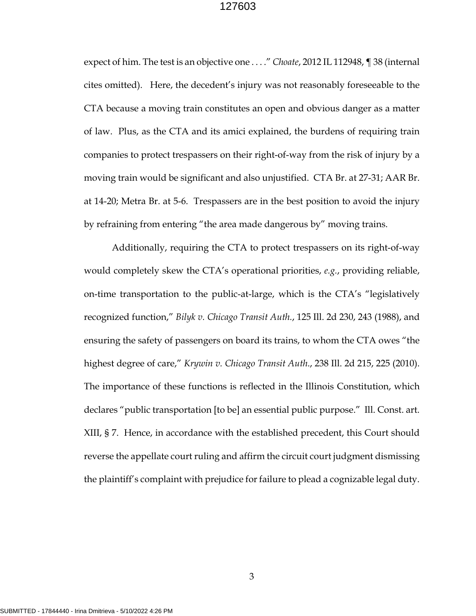expect of him. The test is an objective one . . . ." *Choate*, 2012 IL 112948, ¶ 38 (internal cites omitted). Here, the decedent's injury was not reasonably foreseeable to the CTA because a moving train constitutes an open and obvious danger as a matter of law. Plus, as the CTA and its amici explained, the burdens of requiring train companies to protect trespassers on their right-of-way from the risk of injury by a moving train would be significant and also unjustified. CTA Br. at 27-31; AAR Br. at 14-20; Metra Br. at 5-6. Trespassers are in the best position to avoid the injury by refraining from entering "the area made dangerous by" moving trains.

Additionally, requiring the CTA to protect trespassers on its right-of-way would completely skew the CTA's operational priorities, *e.g.*, providing reliable, on-time transportation to the public-at-large, which is the CTA's "legislatively recognized function," *Bilyk v. Chicago Transit Auth.*, 125 Ill. 2d 230, 243 (1988), and ensuring the safety of passengers on board its trains, to whom the CTA owes "the highest degree of care," *Krywin v. Chicago Transit Auth*., 238 Ill. 2d 215, 225 (2010). The importance of these functions is reflected in the Illinois Constitution, which declares "public transportation [to be] an essential public purpose." Ill. Const. art. XIII, § 7. Hence, in accordance with the established precedent, this Court should reverse the appellate court ruling and affirm the circuit court judgment dismissing the plaintiff's complaint with prejudice for failure to plead a cognizable legal duty.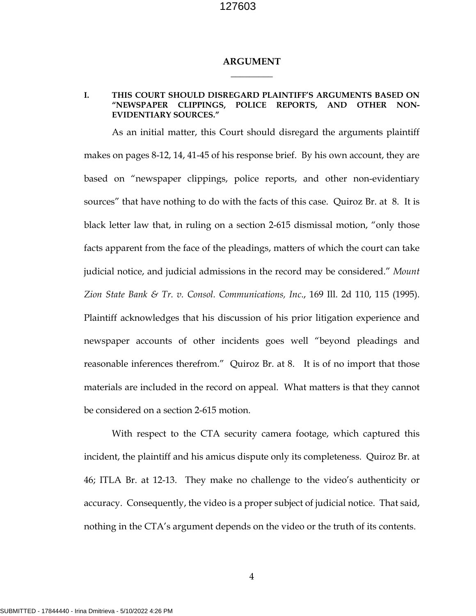#### **ARGUMENT**  $\overline{\phantom{a}}$  . The set of  $\overline{\phantom{a}}$

#### **I. THIS COURT SHOULD DISREGARD PLAINTIFF'S ARGUMENTS BASED ON "NEWSPAPER CLIPPINGS, POLICE REPORTS, AND OTHER NON-EVIDENTIARY SOURCES."**

 As an initial matter, this Court should disregard the arguments plaintiff makes on pages 8-12, 14, 41-45 of his response brief. By his own account, they are based on "newspaper clippings, police reports, and other non-evidentiary sources" that have nothing to do with the facts of this case. Quiroz Br. at 8. It is black letter law that, in ruling on a section 2-615 dismissal motion, "only those facts apparent from the face of the pleadings, matters of which the court can take judicial notice, and judicial admissions in the record may be considered." *Mount Zion State Bank & Tr. v. Consol. Communications, Inc*., 169 Ill. 2d 110, 115 (1995). Plaintiff acknowledges that his discussion of his prior litigation experience and newspaper accounts of other incidents goes well "beyond pleadings and reasonable inferences therefrom." Quiroz Br. at 8. It is of no import that those materials are included in the record on appeal. What matters is that they cannot be considered on a section 2-615 motion.

With respect to the CTA security camera footage, which captured this incident, the plaintiff and his amicus dispute only its completeness. Quiroz Br. at 46; ITLA Br. at 12-13. They make no challenge to the video's authenticity or accuracy. Consequently, the video is a proper subject of judicial notice. That said, nothing in the CTA's argument depends on the video or the truth of its contents.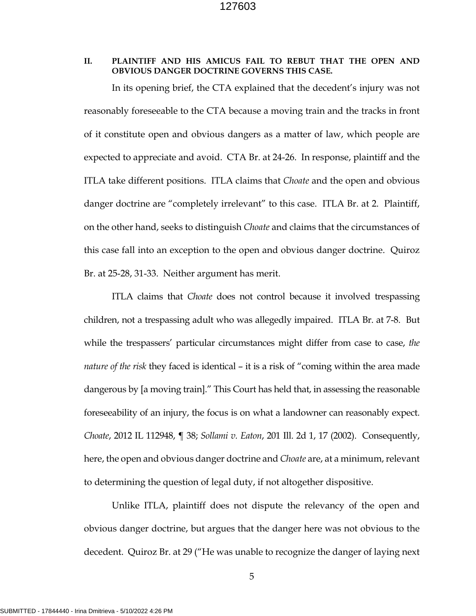#### **II. PLAINTIFF AND HIS AMICUS FAIL TO REBUT THAT THE OPEN AND OBVIOUS DANGER DOCTRINE GOVERNS THIS CASE.**

In its opening brief, the CTA explained that the decedent's injury was not reasonably foreseeable to the CTA because a moving train and the tracks in front of it constitute open and obvious dangers as a matter of law, which people are expected to appreciate and avoid. CTA Br. at 24-26. In response, plaintiff and the ITLA take different positions. ITLA claims that *Choate* and the open and obvious danger doctrine are "completely irrelevant" to this case. ITLA Br. at 2. Plaintiff, on the other hand, seeks to distinguish *Choate* and claims that the circumstances of this case fall into an exception to the open and obvious danger doctrine. Quiroz Br. at 25-28, 31-33. Neither argument has merit.

ITLA claims that *Choate* does not control because it involved trespassing children, not a trespassing adult who was allegedly impaired. ITLA Br. at 7-8. But while the trespassers' particular circumstances might differ from case to case, *the nature of the risk* they faced is identical – it is a risk of "coming within the area made dangerous by [a moving train]." This Court has held that, in assessing the reasonable foreseeability of an injury, the focus is on what a landowner can reasonably expect. *Choate*, 2012 IL 112948, ¶ 38; *Sollami v. Eaton*, 201 Ill. 2d 1, 17 (2002). Consequently, here, the open and obvious danger doctrine and *Choate* are, at a minimum, relevant to determining the question of legal duty, if not altogether dispositive.

Unlike ITLA, plaintiff does not dispute the relevancy of the open and obvious danger doctrine, but argues that the danger here was not obvious to the decedent. Quiroz Br. at 29 ("He was unable to recognize the danger of laying next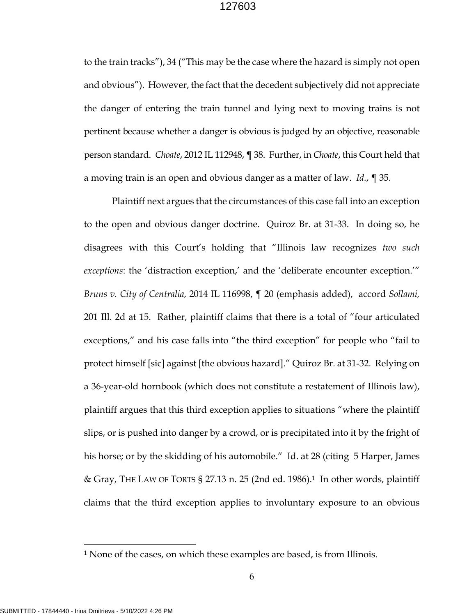to the train tracks"), 34 ("This may be the case where the hazard is simply not open and obvious"). However, the fact that the decedent subjectively did not appreciate the danger of entering the train tunnel and lying next to moving trains is not pertinent because whether a danger is obvious is judged by an objective, reasonable person standard. *Choate*, 2012 IL 112948, ¶ 38. Further, in *Choate*, this Court held that a moving train is an open and obvious danger as a matter of law. *Id.*, ¶ 35.

Plaintiff next argues that the circumstances of this case fall into an exception to the open and obvious danger doctrine. Quiroz Br. at 31-33. In doing so, he disagrees with this Court's holding that "Illinois law recognizes *two such exceptions*: the 'distraction exception,' and the 'deliberate encounter exception.'" *Bruns v. City of Centralia*, 2014 IL 116998, ¶ 20 (emphasis added), accord *Sollami,*  201 Ill. 2d at 15. Rather, plaintiff claims that there is a total of "four articulated exceptions," and his case falls into "the third exception" for people who "fail to protect himself [sic] against [the obvious hazard]." Quiroz Br. at 31-32. Relying on a 36-year-old hornbook (which does not constitute a restatement of Illinois law), plaintiff argues that this third exception applies to situations "where the plaintiff slips, or is pushed into danger by a crowd, or is precipitated into it by the fright of his horse; or by the skidding of his automobile." Id. at 28 (citing 5 Harper, James & Gray, THE LAW OF TORTS § 27.13 n. 25 (2nd ed. 1986).<sup>1</sup> In other words, plaintiff claims that the third exception applies to involuntary exposure to an obvious

<sup>1</sup> None of the cases, on which these examples are based, is from Illinois.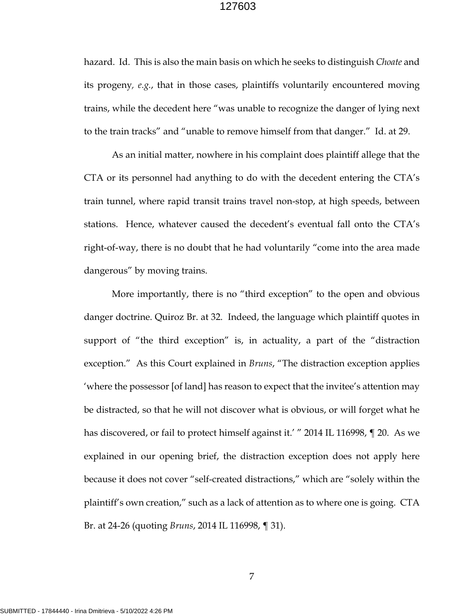hazard. Id. This is also the main basis on which he seeks to distinguish *Choate* and its progeny*, e.g.*, that in those cases, plaintiffs voluntarily encountered moving trains, while the decedent here "was unable to recognize the danger of lying next to the train tracks" and "unable to remove himself from that danger." Id. at 29.

As an initial matter, nowhere in his complaint does plaintiff allege that the CTA or its personnel had anything to do with the decedent entering the CTA's train tunnel, where rapid transit trains travel non-stop, at high speeds, between stations. Hence, whatever caused the decedent's eventual fall onto the CTA's right-of-way, there is no doubt that he had voluntarily "come into the area made dangerous" by moving trains.

More importantly, there is no "third exception" to the open and obvious danger doctrine. Quiroz Br. at 32. Indeed, the language which plaintiff quotes in support of "the third exception" is, in actuality, a part of the "distraction exception." As this Court explained in *Bruns*, "The distraction exception applies 'where the possessor [of land] has reason to expect that the invitee's attention may be distracted, so that he will not discover what is obvious, or will forget what he has discovered, or fail to protect himself against it.' " 2014 IL 116998,  $\P$  20. As we explained in our opening brief, the distraction exception does not apply here because it does not cover "self-created distractions," which are "solely within the plaintiff's own creation," such as a lack of attention as to where one is going. CTA Br. at 24-26 (quoting *Bruns*, 2014 IL 116998, ¶ 31).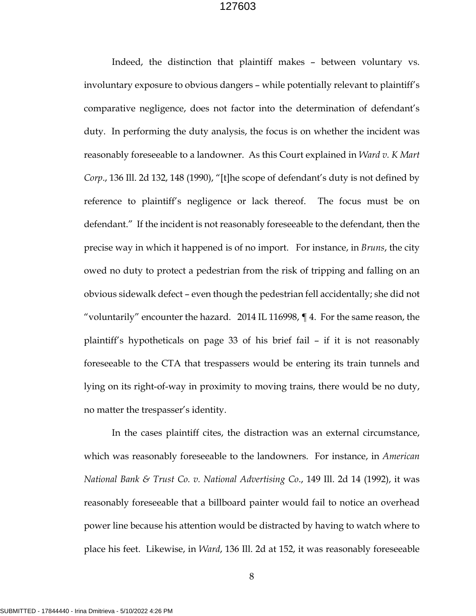Indeed, the distinction that plaintiff makes – between voluntary vs. involuntary exposure to obvious dangers – while potentially relevant to plaintiff's comparative negligence, does not factor into the determination of defendant's duty. In performing the duty analysis, the focus is on whether the incident was reasonably foreseeable to a landowner. As this Court explained in *Ward v. K Mart Corp*., 136 Ill. 2d 132, 148 (1990), "[t]he scope of defendant's duty is not defined by reference to plaintiff's negligence or lack thereof. The focus must be on defendant." If the incident is not reasonably foreseeable to the defendant, then the precise way in which it happened is of no import. For instance, in *Bruns*, the city owed no duty to protect a pedestrian from the risk of tripping and falling on an obvious sidewalk defect – even though the pedestrian fell accidentally; she did not "voluntarily" encounter the hazard. 2014 IL 116998,  $\P$  4. For the same reason, the plaintiff's hypotheticals on page 33 of his brief fail – if it is not reasonably foreseeable to the CTA that trespassers would be entering its train tunnels and lying on its right-of-way in proximity to moving trains, there would be no duty, no matter the trespasser's identity.

In the cases plaintiff cites, the distraction was an external circumstance, which was reasonably foreseeable to the landowners. For instance, in *American National Bank & Trust Co. v. National Advertising Co*., 149 Ill. 2d 14 (1992), it was reasonably foreseeable that a billboard painter would fail to notice an overhead power line because his attention would be distracted by having to watch where to place his feet. Likewise, in *Ward*, 136 Ill. 2d at 152, it was reasonably foreseeable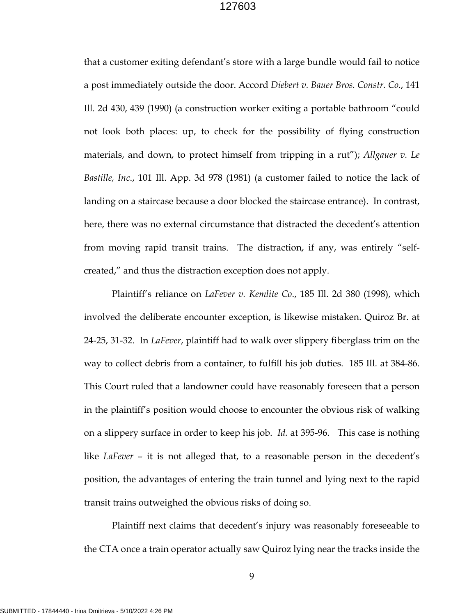that a customer exiting defendant's store with a large bundle would fail to notice a post immediately outside the door. Accord *Diebert v. Bauer Bros. Constr. Co*., 141 Ill. 2d 430, 439 (1990) (a construction worker exiting a portable bathroom "could not look both places: up, to check for the possibility of flying construction materials, and down, to protect himself from tripping in a rut"); *Allgauer v. Le Bastille, Inc*., 101 Ill. App. 3d 978 (1981) (a customer failed to notice the lack of landing on a staircase because a door blocked the staircase entrance). In contrast, here, there was no external circumstance that distracted the decedent's attention from moving rapid transit trains. The distraction, if any, was entirely "selfcreated," and thus the distraction exception does not apply.

Plaintiff's reliance on *LaFever v. Kemlite Co*., 185 Ill. 2d 380 (1998), which involved the deliberate encounter exception, is likewise mistaken. Quiroz Br. at 24-25, 31-32. In *LaFever*, plaintiff had to walk over slippery fiberglass trim on the way to collect debris from a container, to fulfill his job duties. 185 Ill. at 384-86. This Court ruled that a landowner could have reasonably foreseen that a person in the plaintiff's position would choose to encounter the obvious risk of walking on a slippery surface in order to keep his job. *Id.* at 395-96. This case is nothing like *LaFever* – it is not alleged that, to a reasonable person in the decedent's position, the advantages of entering the train tunnel and lying next to the rapid transit trains outweighed the obvious risks of doing so.

Plaintiff next claims that decedent's injury was reasonably foreseeable to the CTA once a train operator actually saw Quiroz lying near the tracks inside the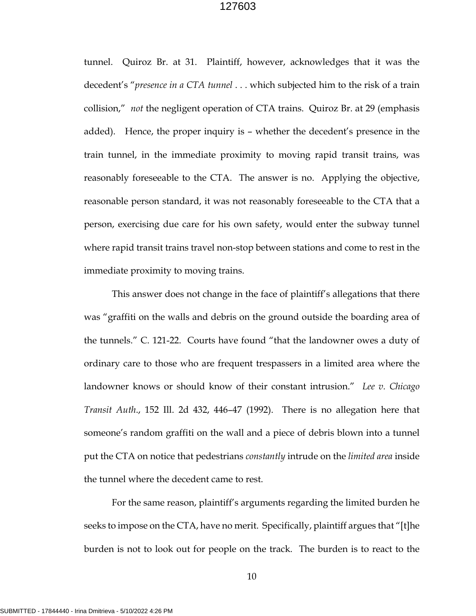tunnel. Quiroz Br. at 31. Plaintiff, however, acknowledges that it was the decedent's "*presence in a CTA tunnel* . . . which subjected him to the risk of a train collision," *not* the negligent operation of CTA trains. Quiroz Br. at 29 (emphasis added). Hence, the proper inquiry is – whether the decedent's presence in the train tunnel, in the immediate proximity to moving rapid transit trains, was reasonably foreseeable to the CTA. The answer is no. Applying the objective, reasonable person standard, it was not reasonably foreseeable to the CTA that a person, exercising due care for his own safety, would enter the subway tunnel where rapid transit trains travel non-stop between stations and come to rest in the immediate proximity to moving trains.

This answer does not change in the face of plaintiff's allegations that there was "graffiti on the walls and debris on the ground outside the boarding area of the tunnels." C. 121-22. Courts have found "that the landowner owes a duty of ordinary care to those who are frequent trespassers in a limited area where the landowner knows or should know of their constant intrusion." *Lee v. Chicago Transit Auth*., 152 Ill. 2d 432, 446–47 (1992). There is no allegation here that someone's random graffiti on the wall and a piece of debris blown into a tunnel put the CTA on notice that pedestrians *constantly* intrude on the *limited area* inside the tunnel where the decedent came to rest.

For the same reason, plaintiff's arguments regarding the limited burden he seeks to impose on the CTA, have no merit. Specifically, plaintiff argues that "[t]he burden is not to look out for people on the track. The burden is to react to the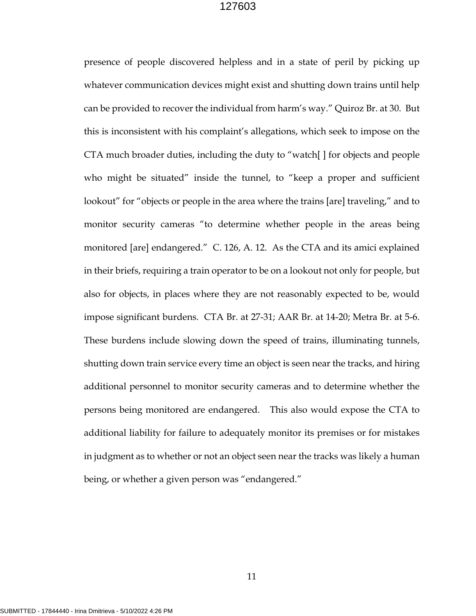presence of people discovered helpless and in a state of peril by picking up whatever communication devices might exist and shutting down trains until help can be provided to recover the individual from harm's way." Quiroz Br. at 30. But this is inconsistent with his complaint's allegations, which seek to impose on the CTA much broader duties, including the duty to "watch[ ] for objects and people who might be situated" inside the tunnel, to "keep a proper and sufficient lookout" for "objects or people in the area where the trains [are] traveling," and to monitor security cameras "to determine whether people in the areas being monitored [are] endangered." C. 126, A. 12. As the CTA and its amici explained in their briefs, requiring a train operator to be on a lookout not only for people, but also for objects, in places where they are not reasonably expected to be, would impose significant burdens. CTA Br. at 27-31; AAR Br. at 14-20; Metra Br. at 5-6. These burdens include slowing down the speed of trains, illuminating tunnels, shutting down train service every time an object is seen near the tracks, and hiring additional personnel to monitor security cameras and to determine whether the persons being monitored are endangered. This also would expose the CTA to additional liability for failure to adequately monitor its premises or for mistakes in judgment as to whether or not an object seen near the tracks was likely a human being, or whether a given person was "endangered."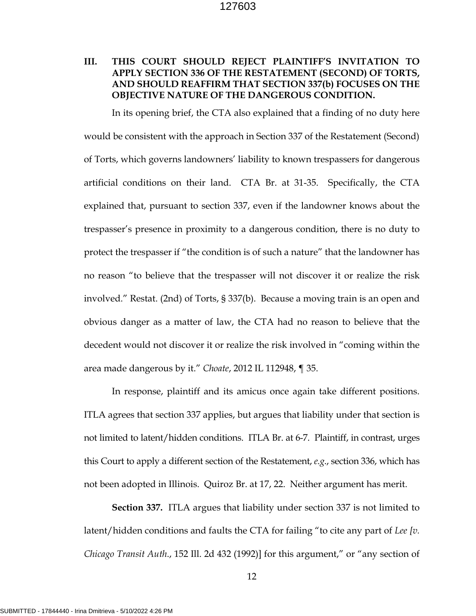## **III. THIS COURT SHOULD REJECT PLAINTIFF'S INVITATION TO APPLY SECTION 336 OF THE RESTATEMENT (SECOND) OF TORTS, AND SHOULD REAFFIRM THAT SECTION 337(b) FOCUSES ON THE OBJECTIVE NATURE OF THE DANGEROUS CONDITION.**

In its opening brief, the CTA also explained that a finding of no duty here would be consistent with the approach in Section 337 of the Restatement (Second) of Torts, which governs landowners' liability to known trespassers for dangerous artificial conditions on their land. CTA Br. at 31-35. Specifically, the CTA explained that, pursuant to section 337, even if the landowner knows about the trespasser's presence in proximity to a dangerous condition, there is no duty to protect the trespasser if "the condition is of such a nature" that the landowner has no reason "to believe that the trespasser will not discover it or realize the risk involved." Restat. (2nd) of Torts, § 337(b). Because a moving train is an open and obvious danger as a matter of law, the CTA had no reason to believe that the decedent would not discover it or realize the risk involved in "coming within the area made dangerous by it." *Choate*, 2012 IL 112948, ¶ 35.

In response, plaintiff and its amicus once again take different positions. ITLA agrees that section 337 applies, but argues that liability under that section is not limited to latent/hidden conditions. ITLA Br. at 6-7. Plaintiff, in contrast, urges this Court to apply a different section of the Restatement, *e.g*., section 336, which has not been adopted in Illinois. Quiroz Br. at 17, 22. Neither argument has merit.

**Section 337.** ITLA argues that liability under section 337 is not limited to latent/hidden conditions and faults the CTA for failing "to cite any part of *Lee [v. Chicago Transit Auth*., 152 Ill. 2d 432 (1992)] for this argument," or "any section of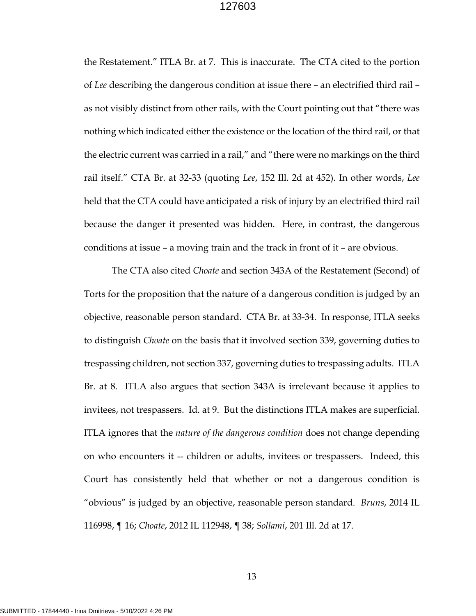the Restatement." ITLA Br. at 7. This is inaccurate. The CTA cited to the portion of *Lee* describing the dangerous condition at issue there – an electrified third rail – as not visibly distinct from other rails, with the Court pointing out that "there was nothing which indicated either the existence or the location of the third rail, or that the electric current was carried in a rail," and "there were no markings on the third rail itself." CTA Br. at 32-33 (quoting *Lee*, 152 Ill. 2d at 452). In other words, *Lee* held that the CTA could have anticipated a risk of injury by an electrified third rail because the danger it presented was hidden. Here, in contrast, the dangerous conditions at issue – a moving train and the track in front of it – are obvious.

The CTA also cited *Choate* and section 343A of the Restatement (Second) of Torts for the proposition that the nature of a dangerous condition is judged by an objective, reasonable person standard. CTA Br. at 33-34. In response, ITLA seeks to distinguish *Choate* on the basis that it involved section 339, governing duties to trespassing children, not section 337, governing duties to trespassing adults. ITLA Br. at 8. ITLA also argues that section 343A is irrelevant because it applies to invitees, not trespassers. Id. at 9. But the distinctions ITLA makes are superficial. ITLA ignores that the *nature of the dangerous condition* does not change depending on who encounters it -- children or adults, invitees or trespassers. Indeed, this Court has consistently held that whether or not a dangerous condition is "obvious" is judged by an objective, reasonable person standard. *Bruns*, 2014 IL 116998, ¶ 16; *Choate*, 2012 IL 112948, ¶ 38; *Sollami*, 201 Ill. 2d at 17.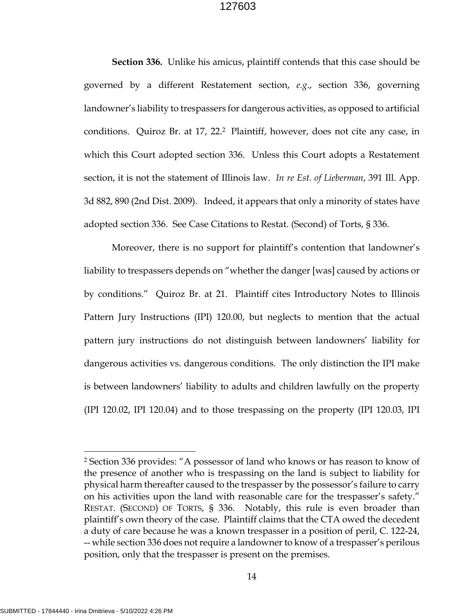**Section 336.** Unlike his amicus, plaintiff contends that this case should be governed by a different Restatement section, *e.g*., section 336, governing landowner's liability to trespassers for dangerous activities, as opposed to artificial conditions. Quiroz Br. at 17, 22.2 Plaintiff, however, does not cite any case, in which this Court adopted section 336. Unless this Court adopts a Restatement section, it is not the statement of Illinois law. *In re Est. of Lieberman*, 391 Ill. App. 3d 882, 890 (2nd Dist. 2009). Indeed, it appears that only a minority of states have adopted section 336. See Case Citations to Restat. (Second) of Torts, § 336.

Moreover, there is no support for plaintiff's contention that landowner's liability to trespassers depends on "whether the danger [was] caused by actions or by conditions." Quiroz Br. at 21. Plaintiff cites Introductory Notes to Illinois Pattern Jury Instructions (IPI) 120.00, but neglects to mention that the actual pattern jury instructions do not distinguish between landowners' liability for dangerous activities vs. dangerous conditions. The only distinction the IPI make is between landowners' liability to adults and children lawfully on the property (IPI 120.02, IPI 120.04) and to those trespassing on the property (IPI 120.03, IPI

<sup>2</sup> Section 336 provides: "A possessor of land who knows or has reason to know of the presence of another who is trespassing on the land is subject to liability for physical harm thereafter caused to the trespasser by the possessor's failure to carry on his activities upon the land with reasonable care for the trespasser's safety." RESTAT. (SECOND) OF TORTS, § 336. Notably, this rule is even broader than plaintiff's own theory of the case. Plaintiff claims that the CTA owed the decedent a duty of care because he was a known trespasser in a position of peril, C. 122-24, -- while section 336 does not require a landowner to know of a trespasser's perilous position, only that the trespasser is present on the premises.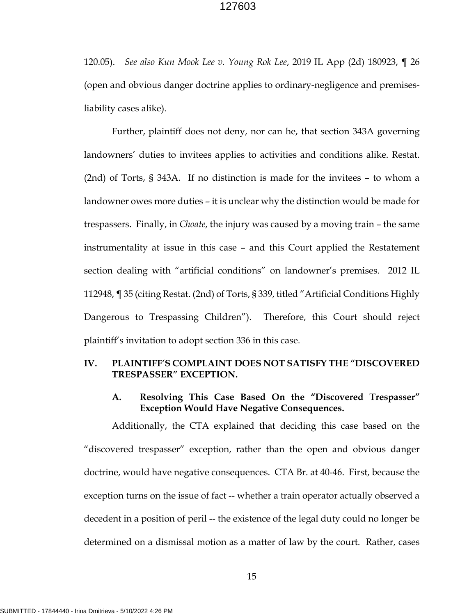120.05). *See also Kun Mook Lee v. Young Rok Lee*, 2019 IL App (2d) 180923, ¶ 26 (open and obvious danger doctrine applies to ordinary-negligence and premisesliability cases alike).

Further, plaintiff does not deny, nor can he, that section 343A governing landowners' duties to invitees applies to activities and conditions alike. Restat. (2nd) of Torts, § 343A. If no distinction is made for the invitees – to whom a landowner owes more duties – it is unclear why the distinction would be made for trespassers. Finally, in *Choate*, the injury was caused by a moving train – the same instrumentality at issue in this case – and this Court applied the Restatement section dealing with "artificial conditions" on landowner's premises. 2012 IL 112948, ¶ 35 (citing Restat. (2nd) of Torts, § 339, titled "Artificial Conditions Highly Dangerous to Trespassing Children"). Therefore, this Court should reject plaintiff's invitation to adopt section 336 in this case.

### **IV. PLAINTIFF'S COMPLAINT DOES NOT SATISFY THE "DISCOVERED TRESPASSER" EXCEPTION.**

## **A. Resolving This Case Based On the "Discovered Trespasser" Exception Would Have Negative Consequences.**

Additionally, the CTA explained that deciding this case based on the "discovered trespasser" exception, rather than the open and obvious danger doctrine, would have negative consequences. CTA Br. at 40-46. First, because the exception turns on the issue of fact -- whether a train operator actually observed a decedent in a position of peril -- the existence of the legal duty could no longer be determined on a dismissal motion as a matter of law by the court. Rather, cases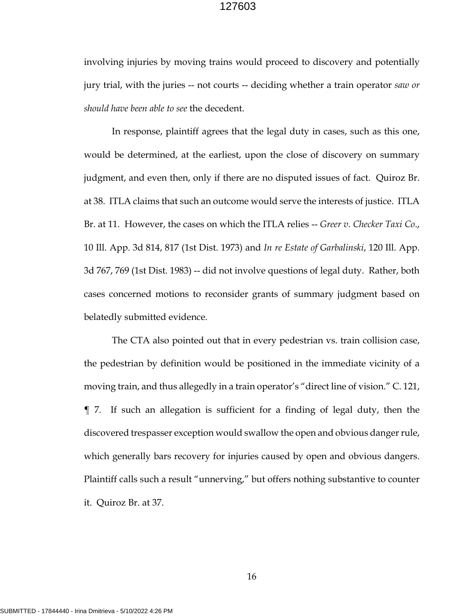involving injuries by moving trains would proceed to discovery and potentially jury trial, with the juries -- not courts -- deciding whether a train operator *saw or should have been able to see* the decedent.

In response, plaintiff agrees that the legal duty in cases, such as this one, would be determined, at the earliest, upon the close of discovery on summary judgment, and even then, only if there are no disputed issues of fact. Quiroz Br. at 38. ITLA claims that such an outcome would serve the interests of justice. ITLA Br. at 11. However, the cases on which the ITLA relies -- *Greer v. Checker Taxi Co*., 10 Ill. App. 3d 814, 817 (1st Dist. 1973) and *In re Estate of Garbalinski*, 120 Ill. App. 3d 767, 769 (1st Dist. 1983) -- did not involve questions of legal duty. Rather, both cases concerned motions to reconsider grants of summary judgment based on belatedly submitted evidence.

The CTA also pointed out that in every pedestrian vs. train collision case, the pedestrian by definition would be positioned in the immediate vicinity of a moving train, and thus allegedly in a train operator's "direct line of vision." C. 121, ¶ 7. If such an allegation is sufficient for a finding of legal duty, then the discovered trespasser exception would swallow the open and obvious danger rule, which generally bars recovery for injuries caused by open and obvious dangers. Plaintiff calls such a result "unnerving," but offers nothing substantive to counter it. Quiroz Br. at 37.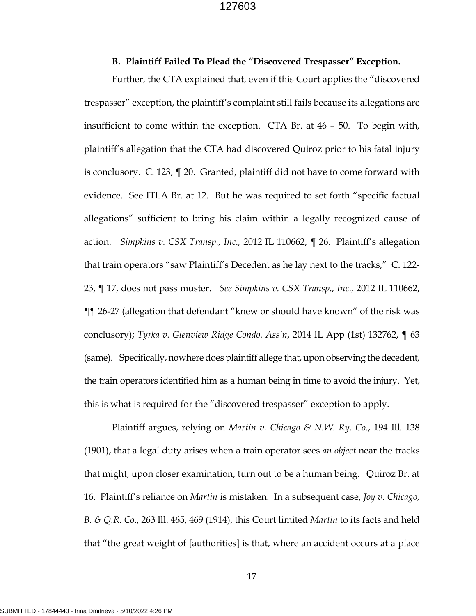#### **B. Plaintiff Failed To Plead the "Discovered Trespasser" Exception.**

Further, the CTA explained that, even if this Court applies the "discovered trespasser" exception, the plaintiff's complaint still fails because its allegations are insufficient to come within the exception. CTA Br. at 46 – 50. To begin with, plaintiff's allegation that the CTA had discovered Quiroz prior to his fatal injury is conclusory. C. 123, ¶ 20. Granted, plaintiff did not have to come forward with evidence. See ITLA Br. at 12. But he was required to set forth "specific factual allegations" sufficient to bring his claim within a legally recognized cause of action. *Simpkins v. CSX Transp., Inc.,* 2012 IL 110662, ¶ 26. Plaintiff's allegation that train operators "saw Plaintiff's Decedent as he lay next to the tracks," C. 122- 23, ¶ 17, does not pass muster. *See Simpkins v. CSX Transp., Inc.,* 2012 IL 110662, ¶¶ 26-27 (allegation that defendant "knew or should have known" of the risk was conclusory); *Tyrka v. Glenview Ridge Condo. Ass'n*, 2014 IL App (1st) 132762, ¶ 63 (same). Specifically, nowhere does plaintiff allege that, upon observing the decedent, the train operators identified him as a human being in time to avoid the injury. Yet, this is what is required for the "discovered trespasser" exception to apply.

Plaintiff argues, relying on *Martin v. Chicago & N.W. Ry. Co*., 194 Ill. 138 (1901), that a legal duty arises when a train operator sees *an object* near the tracks that might, upon closer examination, turn out to be a human being. Quiroz Br. at 16. Plaintiff's reliance on *Martin* is mistaken. In a subsequent case, *Joy v. Chicago, B. & Q.R. Co*., 263 Ill. 465, 469 (1914), this Court limited *Martin* to its facts and held that "the great weight of [authorities] is that, where an accident occurs at a place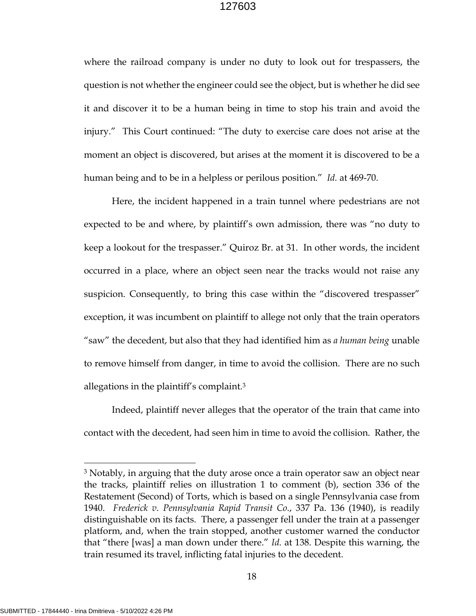where the railroad company is under no duty to look out for trespassers, the question is not whether the engineer could see the object, but is whether he did see it and discover it to be a human being in time to stop his train and avoid the injury." This Court continued: "The duty to exercise care does not arise at the moment an object is discovered, but arises at the moment it is discovered to be a human being and to be in a helpless or perilous position." *Id.* at 469-70.

Here, the incident happened in a train tunnel where pedestrians are not expected to be and where, by plaintiff's own admission, there was "no duty to keep a lookout for the trespasser." Quiroz Br. at 31. In other words, the incident occurred in a place, where an object seen near the tracks would not raise any suspicion. Consequently, to bring this case within the "discovered trespasser" exception, it was incumbent on plaintiff to allege not only that the train operators "saw" the decedent, but also that they had identified him as *a human being* unable to remove himself from danger, in time to avoid the collision. There are no such allegations in the plaintiff's complaint.3

Indeed, plaintiff never alleges that the operator of the train that came into contact with the decedent, had seen him in time to avoid the collision. Rather, the

<sup>3</sup> Notably, in arguing that the duty arose once a train operator saw an object near the tracks, plaintiff relies on illustration 1 to comment (b), section 336 of the Restatement (Second) of Torts, which is based on a single Pennsylvania case from 1940. *Frederick v. Pennsylvania Rapid Transit Co*., 337 Pa. 136 (1940), is readily distinguishable on its facts. There, a passenger fell under the train at a passenger platform, and, when the train stopped, another customer warned the conductor that "there [was] a man down under there." *Id.* at 138. Despite this warning, the train resumed its travel, inflicting fatal injuries to the decedent.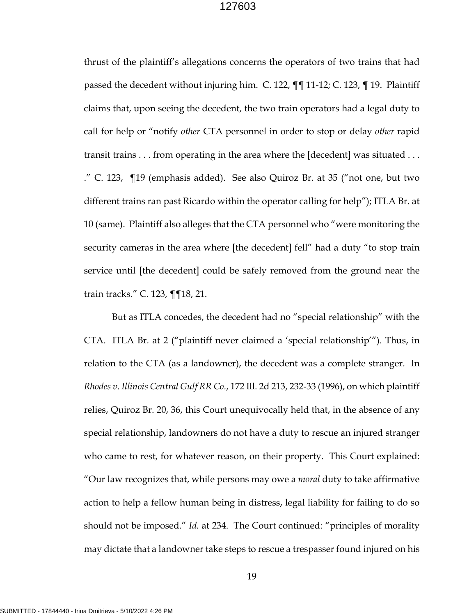thrust of the plaintiff's allegations concerns the operators of two trains that had passed the decedent without injuring him. C. 122, ¶¶ 11-12; C. 123, ¶ 19. Plaintiff claims that, upon seeing the decedent, the two train operators had a legal duty to call for help or "notify *other* CTA personnel in order to stop or delay *other* rapid transit trains . . . from operating in the area where the [decedent] was situated . . . ." C. 123, ¶19 (emphasis added). See also Quiroz Br. at 35 ("not one, but two different trains ran past Ricardo within the operator calling for help"); ITLA Br. at 10 (same). Plaintiff also alleges that the CTA personnel who "were monitoring the security cameras in the area where [the decedent] fell" had a duty "to stop train service until [the decedent] could be safely removed from the ground near the train tracks." C. 123, ¶¶18, 21.

But as ITLA concedes, the decedent had no "special relationship" with the CTA. ITLA Br. at 2 ("plaintiff never claimed a 'special relationship'"). Thus, in relation to the CTA (as a landowner), the decedent was a complete stranger. In *Rhodes v. Illinois Central Gulf RR Co.*, 172 Ill. 2d 213, 232-33 (1996), on which plaintiff relies, Quiroz Br. 20, 36, this Court unequivocally held that, in the absence of any special relationship, landowners do not have a duty to rescue an injured stranger who came to rest, for whatever reason, on their property. This Court explained: "Our law recognizes that, while persons may owe a *moral* duty to take affirmative action to help a fellow human being in distress, legal liability for failing to do so should not be imposed." *Id.* at 234. The Court continued: "principles of morality may dictate that a landowner take steps to rescue a trespasser found injured on his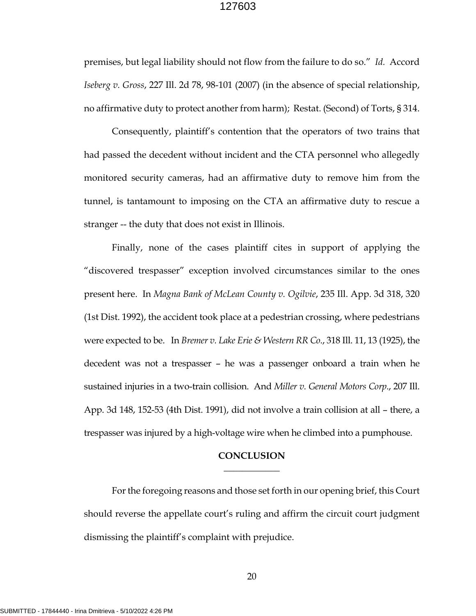premises, but legal liability should not flow from the failure to do so." *Id.* Accord *Iseberg v. Gross*, 227 Ill. 2d 78, 98-101 (2007) (in the absence of special relationship, no affirmative duty to protect another from harm); Restat. (Second) of Torts, § 314.

Consequently, plaintiff's contention that the operators of two trains that had passed the decedent without incident and the CTA personnel who allegedly monitored security cameras, had an affirmative duty to remove him from the tunnel, is tantamount to imposing on the CTA an affirmative duty to rescue a stranger -- the duty that does not exist in Illinois.

Finally, none of the cases plaintiff cites in support of applying the "discovered trespasser" exception involved circumstances similar to the ones present here. In *Magna Bank of McLean County v. Ogilvie*, 235 Ill. App. 3d 318, 320 (1st Dist. 1992), the accident took place at a pedestrian crossing, where pedestrians were expected to be. In *Bremer v. Lake Erie & Western RR Co*., 318 Ill. 11, 13 (1925), the decedent was not a trespasser – he was a passenger onboard a train when he sustained injuries in a two-train collision. And *Miller v. General Motors Corp*., 207 Ill. App. 3d 148, 152-53 (4th Dist. 1991), did not involve a train collision at all – there, a trespasser was injured by a high-voltage wire when he climbed into a pumphouse.

#### **CONCLUSION**   $\overline{\phantom{a}}$

For the foregoing reasons and those set forth in our opening brief, this Court should reverse the appellate court's ruling and affirm the circuit court judgment dismissing the plaintiff's complaint with prejudice.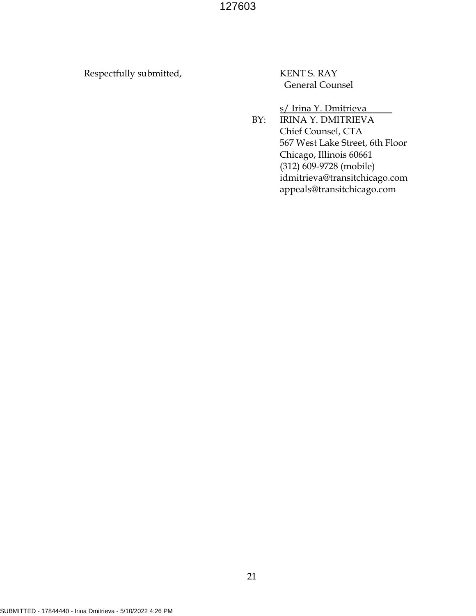Respectfully submitted, KENT S. RAY

General Counsel

s/ Irina Y. Dmitrieva

 BY: IRINA Y. DMITRIEVA Chief Counsel, CTA 567 West Lake Street, 6th Floor Chicago, Illinois 60661 (312) 609-9728 (mobile) idmitrieva@transitchicago.com appeals@transitchicago.com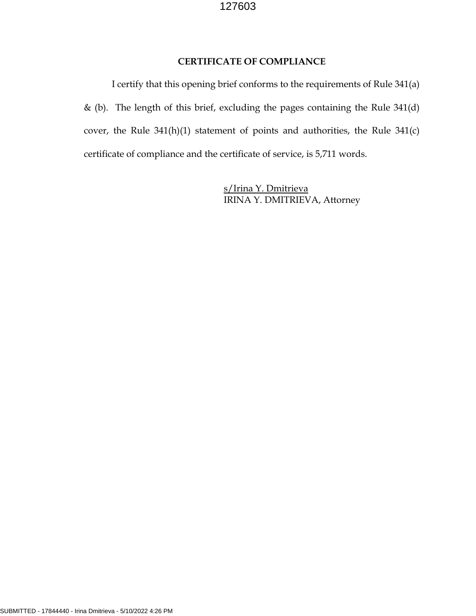## **CERTIFICATE OF COMPLIANCE**

I certify that this opening brief conforms to the requirements of Rule 341(a) & (b). The length of this brief, excluding the pages containing the Rule 341(d) cover, the Rule 341(h)(1) statement of points and authorities, the Rule 341(c) certificate of compliance and the certificate of service, is 5,711 words.

> s/Irina Y. Dmitrieva IRINA Y. DMITRIEVA, Attorney